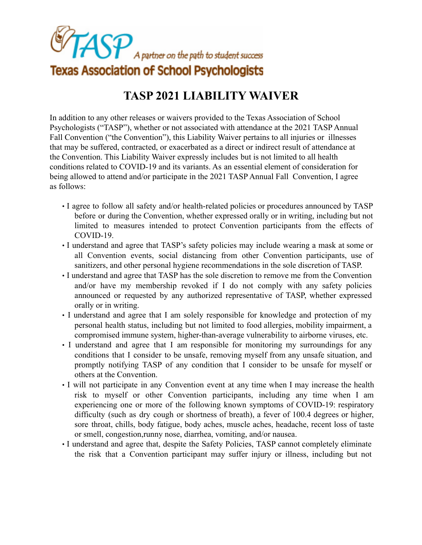

## **TASP 2021 LIABILITY WAIVER**

In addition to any other releases or waivers provided to the Texas Association of School Psychologists ("TASP"), whether or not associated with attendance at the 2021 TASP Annual Fall Convention ("the Convention"), this Liability Waiver pertains to all injuries or illnesses that may be suffered, contracted, or exacerbated as a direct or indirect result of attendance at the Convention. This Liability Waiver expressly includes but is not limited to all health conditions related to COVID-19 and its variants. As an essential element of consideration for being allowed to attend and/or participate in the 2021 TASP Annual Fall Convention, I agree as follows:

- I agree to follow all safety and/or health-related policies or procedures announced by TASP before or during the Convention, whether expressed orally or in writing, including but not limited to measures intended to protect Convention participants from the effects of COVID-19.
- I understand and agree that TASP's safety policies may include wearing a mask at some or all Convention events, social distancing from other Convention participants, use of sanitizers, and other personal hygiene recommendations in the sole discretion of TASP.
- I understand and agree that TASP has the sole discretion to remove me from the Convention and/or have my membership revoked if I do not comply with any safety policies announced or requested by any authorized representative of TASP, whether expressed orally or in writing.
- I understand and agree that I am solely responsible for knowledge and protection of my personal health status, including but not limited to food allergies, mobility impairment, a compromised immune system, higher-than-average vulnerability to airborne viruses, etc.
- I understand and agree that I am responsible for monitoring my surroundings for any conditions that I consider to be unsafe, removing myself from any unsafe situation, and promptly notifying TASP of any condition that I consider to be unsafe for myself or others at the Convention.
- I will not participate in any Convention event at any time when I may increase the health risk to myself or other Convention participants, including any time when I am experiencing one or more of the following known symptoms of COVID-19: respiratory difficulty (such as dry cough or shortness of breath), a fever of 100.4 degrees or higher, sore throat, chills, body fatigue, body aches, muscle aches, headache, recent loss of taste or smell, congestion,runny nose, diarrhea, vomiting, and/or nausea.
- I understand and agree that, despite the Safety Policies, TASP cannot completely eliminate the risk that a Convention participant may suffer injury or illness, including but not